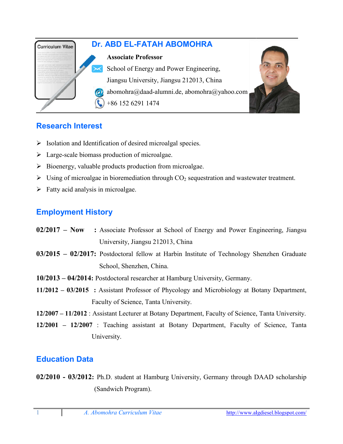

## **Research Interest**

- > Isolation and Identification of desired microalgal species.
- Large-scale biomass production of microalgae.
- $\triangleright$  Bioenergy, valuable products production from microalgae.
- $\triangleright$  Using of microalgae in bioremediation through CO<sub>2</sub> sequestration and wastewater treatment.
- $\triangleright$  Fatty acid analysis in microalgae.

## **Employment History**

- **02/2017 Now :** Associate Professor at School of Energy and Power Engineering, Jiangsu University, Jiangsu 212013, China
- **03/2015 02/2017:** Postdoctoral fellow at Harbin Institute of Technology Shenzhen Graduate School, Shenzhen, China.
- **10/2013 – 04/2014:** Postdoctoral researcher at Hamburg University, Germany.
- **11/2012 – 03/2015 :** Assistant Professor of Phycology and Microbiology at Botany Department, Faculty of Science, Tanta University.
- 12/2007 11/2012 : Assistant Lecturer at Botany Department, Faculty of Science, Tanta University.
- **12/2001 – 12/2007** : Teaching assistant at Botany Department, Faculty of Science, Tanta Department, University.

### **Education Data**

**02/2010 - 03/2012:** Ph.D. student at Hamburg University, Germany through DAAD scholarship (Sandwich Program).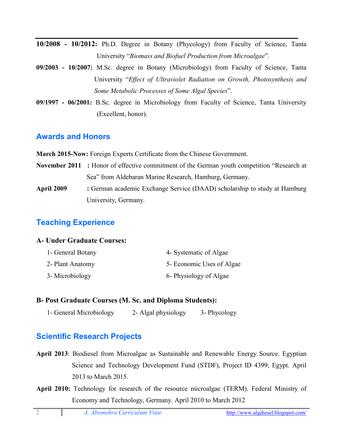**10/2008 - 10/2012:** Ph.D. Degree in Botany (Phycology) from Faculty of Science, Tanta University "*Biomass and Biofuel Production from Microalgae*".

- **09/2003 - 10/2007:** M.Sc. degree in Botany (Microbiology) from Faculty of Science, Tanta University "*Effect of Ultraviolet Radiation on Growth, Photosynthesis and Some Metabolic Processes of Some Algal Species*".
- **09/1997 - 06/2001:** B.Sc. degree in Microbiology from Faculty of Science, Tanta University (Excellent, honor).

### **Awards and Honors**

**March 2015-Now:** Foreign Experts Certificate from the Chinese Government.

- **November 2011 :** Honor of effective commitment of the German youth competition "Research at Sea" from Aldebaran Marine Research, Hamburg, Germany.
- **April 2009 :** German academic Exchange Service (DAAD) scholarship to study at Hamburg University, Germany.

# **Teaching Experience**

#### **A- Under Graduate Courses:**

| 1- General Botany | 4- Systematic of Algae    |
|-------------------|---------------------------|
| 2- Plant Anatomy  | 5- Economic Uses of Algae |
| 3- Microbiology   | 6- Physiology of Algae    |

#### **B- Post Graduate Courses (M. Sc. and Diploma Students):**

1- General Microbiology 2- Algal physiology 3- Phycology

## **Scientific Research Projects**

- **April 2013**: Biodiesel from Microalgae as Sustainable and Renewable Energy Source. Egyptian Science and Technology Development Fund (STDF), Project ID 4399, Egypt. April 2013 to March 2015.
- **April 2010:** Technology for research of the resource microalgae (TERM). Federal Ministry of Economy and Technology, Germany. April 2010 to March 2012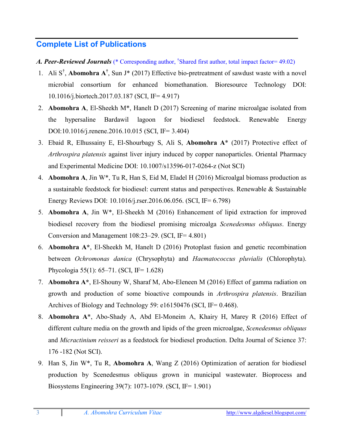## **Complete List of Publications**

- *A. Peer-Reviewed Journals* (\* Corresponding author, † Shared first author, total impact factor= 49.02)
- 1. Ali S† , **Abomohra A†** , Sun J\* (2017) Effective bio-pretreatment of sawdust waste with a novel microbial consortium for enhanced biomethanation. Bioresource Technology DOI: 10.1016/j.biortech.2017.03.187 (SCI, IF= 4.917)
- 2. **Abomohra A**, El-Sheekh M\*, Hanelt D (2017) Screening of marine microalgae isolated from the hypersaline Bardawil lagoon for biodiesel feedstock. Renewable Energy DOI:10.1016/j.renene.2016.10.015 (SCI, IF= 3.404)
- 3. Ebaid R, Elhussainy E, El-Shourbagy S, Ali S, **Abomohra A**\* (2017) Protective effect of *Arthrospira platensis* against liver injury induced by copper nanoparticles. Oriental Pharmacy and Experimental Medicine DOI: 10.1007/s13596-017-0264-z (Not SCI)
- 4. **Abomohra A**, Jin W\*, Tu R, Han S, Eid M, Eladel H (2016) Microalgal biomass production as a sustainable feedstock for biodiesel: current status and perspectives. Renewable & Sustainable Energy Reviews DOI: 10.1016/j.rser.2016.06.056. (SCI, IF= 6.798)
- 5. **Abomohra A**, Jin W\*, El-Sheekh M (2016) Enhancement of lipid extraction for improved biodiesel recovery from the biodiesel promising microalga *Scenedesmus obliquus*. Energy Conversion and Management 108:23–29. (SCI, IF= 4.801)
- 6. **Abomohra A\***, El-Sheekh M, Hanelt D (2016) Protoplast fusion and genetic recombination between *Ochromonas danica* (Chrysophyta) and *Haematococcus pluvialis* (Chlorophyta). Phycologia 55(1): 65–71. (SCI, IF= 1.628)
- 7. **Abomohra A\***, El-Shouny W, Sharaf M, Abo-Eleneen M (2016) Effect of gamma radiation on growth and production of some bioactive compounds in *Arthrospira platensis*. Brazilian Archives of Biology and Technology 59: e16150476 (SCI, IF= 0.468).
- 8. **Abomohra A**\*, Abo-Shady A, Abd El-Moneim A, Khairy H, Marey R (2016) Effect of different culture media on the growth and lipids of the green microalgae, *Scenedesmus obliquus* and *Micractinium reisseri* as a feedstock for biodiesel production. Delta Journal of Science 37: 176 -182 (Not SCI).
- 9. Han S, Jin W\*, Tu R, **Abomohra A**, Wang Z (2016) Optimization of aeration for biodiesel production by Scenedesmus obliquus grown in municipal wastewater. Bioprocess and Biosystems Engineering 39(7): 1073-1079. (SCI, IF= 1.901)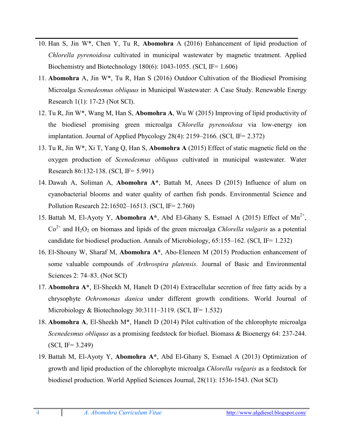- 10. Han S, Jin W\*, Chen Y, Tu R, **Abomohra** A (2016) Enhancement of lipid production of *Chlorella pyrenoidosa* cultivated in municipal wastewater by magnetic treatment. Applied Biochemistry and Biotechnology 180(6): 1043-1055. (SCI, IF= 1.606)
- 11. **Abomohra** A, Jin W\*, Tu R, Han S (2016) Outdoor Cultivation of the Biodiesel Promising Microalga *Scenedesmus obliquus* in Municipal Wastewater: A Case Study. Renewable Energy Research 1(1): 17-23 (Not SCI).
- 12. Tu R, Jin W\*, Wang M, Han S, **Abomohra A**, Wu W (2015) Improving of lipid productivity of the biodiesel promising green microalga *Chlorella pyrenoidosa* via low-energy ion implantation. Journal of Applied Phycology 28(4): 2159–2166. (SCI, IF= 2.372)
- 13. Tu R, Jin W\*, Xi T, Yang Q, Han S, **Abomohra A** (2015) Effect of static magnetic field on the oxygen production of *Scenedesmus obliquus* cultivated in municipal wastewater. Water Research 86:132-138. (SCI, IF= 5.991)
- 14. Dawah A, Soliman A, **Abomohra A\***, Battah M, Anees D (2015) Influence of alum on cyanobacterial blooms and water quality of earthen fish ponds. Environmental Science and Pollution Research 22:16502–16513. (SCI, IF= 2.760)
- 15. Battah M, El-Ayoty Y, Abomohra  $A^*$ , Abd El-Ghany S, Esmael A (2015) Effect of  $Mn^{2+}$ ,  $Co<sup>2+</sup>$  and H<sub>2</sub>O<sub>2</sub> on biomass and lipids of the green microalga *Chlorella vulgaris* as a potential candidate for biodiesel production. Annals of Microbiology, 65:155–162. (SCI, IF= 1.232)
- 16. El-Shouny W, Sharaf M, **Abomohra A\***, Abo-Eleneen M (2015) Production enhancement of some valuable compounds of *Arthrospira platensis*. Journal of Basic and Environmental Sciences 2: 74–83. (Not SCI)
- 17. **Abomohra A\***, El-Sheekh M, Hanelt D (2014) Extracellular secretion of free fatty acids by a chrysophyte *Ochromonas danica* under different growth conditions. World Journal of Microbiology & Biotechnology 30:3111–3119. (SCI, IF= 1.532)
- 18. **Abomohra A**, El-Sheekh M\*, Hanelt D (2014) Pilot cultivation of the chlorophyte microalga *Scenedesmus obliquus* as a promising feedstock for biofuel. Biomass & Bioenergy 64: 237-244. (SCI, IF= 3.249)
- 19. Battah M, El-Ayoty Y, **Abomohra A\***, Abd El-Ghany S, Esmael A (2013) Optimization of growth and lipid production of the chlorophyte microalga *Chlorella vulgaris* as a feedstock for biodiesel production. World Applied Sciences Journal, 28(11): 1536-1543. (Not SCI)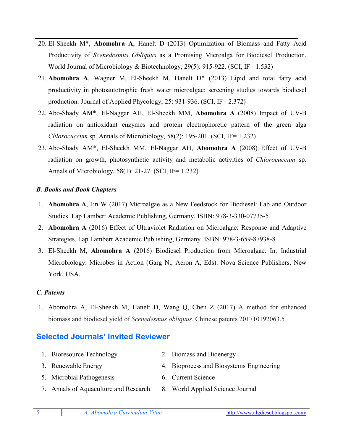- 20. El-Sheekh M\*, **Abomohra A**, Hanelt D (2013) Optimization of Biomass and Fatty Acid Productivity of *Scenedesmus Obliquus* as a Promising Microalga for Biodiesel Production. World Journal of Microbiology & Biotechnology, 29(5): 915-922. (SCI, IF= 1.532)
- 21. **Abomohra A**, Wagner M, El-Sheekh M, Hanelt D\* (2013) Lipid and total fatty acid productivity in photoautotrophic fresh water microalgae: screening studies towards biodiesel production. Journal of Applied Phycology, 25: 931-936. (SCI, IF= 2.372)
- 22. Abo-Shady AM\*, El-Naggar AH, El-Sheekh MM, **Abomohra A** (2008) Impact of UV-B radiation on antioxidant enzymes and protein electrophoretic pattern of the green alga *Chlorocuccum* sp. Annals of Microbiology, 58(2): 195-201. (SCI, IF= 1.232)
- 23. Abo-Shady AM\*, El-Sheekh MM, El-Naggar AH, **Abomohra A** (2008) Effect of UV-B radiation on growth, photosynthetic activity and metabolic activities of *Chlorocuccum* sp. Annals of Microbiology, 58(1): 21-27. (SCI, IF= 1.232)

#### *B. Books and Book Chapters*

- 1. **Abomohra A**, Jin W (2017) Microalgae as a New Feedstock for Biodiesel: Lab and Outdoor Studies. Lap Lambert Academic Publishing, Germany. ISBN: 978-3-330-07735-5
- 2. **Abomohra A** (2016) Effect of Ultraviolet Radiation on Microalgae: Response and Adaptive Strategies. Lap Lambert Academic Publishing, Germany. ISBN: 978-3-659-87938-8
- 3. El-Sheekh M, **Abomohra A** (2016) Biodiesel Production from Microalgae. In: Industrial Microbiology: Microbes in Action (Garg N., Aeron A, Eds). Nova Science Publishers, New York, USA.

#### *C. Patents*

1. Abomohra A, El-Sheekh M, Hanelt D, Wang Q, Chen Z (2017) A method for enhanced biomass and biodiesel yield of *Scenedesmus obliquus*. Chinese patents 201710192063.5

### **Selected Journals' Invited Reviewer**

- 1. Bioresource Technology 2. Biomass and Bioenergy
- 3. Renewable Energy 4. Bioprocess and Biosystems Engineering
- 
- 
- 5. Microbial Pathogenesis 6. Current Science
- 
- 7. Annals of Aquaculture and Research 8. World Applied Science Journal
	-